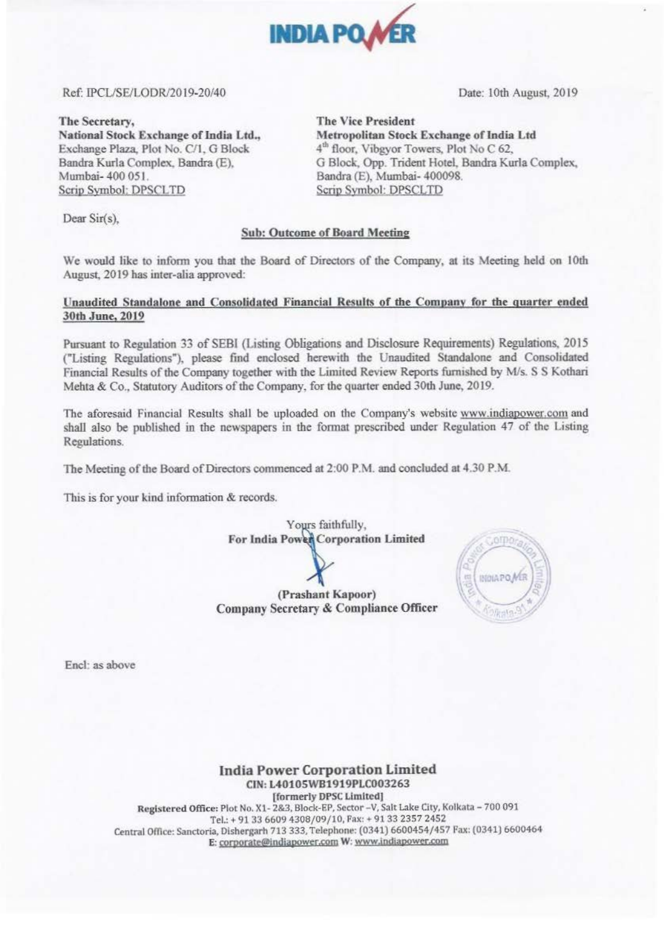

## Ref: IPCIJSE/LODR/2019-20/40 Date: 10th August, 2019

Mctropolican Stock Exchange of India Ltd 4<sup>th</sup> floor, Vibgyor Towers, Plot No C 62,

Sandra (E). Mumbai- 400098.

G Block, Opp. Trident Hotel, Sandra Kurla Complex,

The Secretary, The Vice President National Stock Exchange of India Ltd., Exchange Plaza, Plot No. C/1, G Block Bandra Kurla Complex. Bandra (E). Mumbai- 400 051. Scrip Symbol: DPSCLTD Scrip Symbol: DPSCLTD

Dear Sir(s),

### Sub: Outcome of Board Meeting

We would like to inform you that the Board of Directors of the Company, at its Meeting held on 10th August, 2019 has inter-alia approved:

## Unaudited Standalone and Consolidated Financial Results of the Company for the quarter ended 30th June, 2019

Pursuant to Regulation 33 of SEBI (Listing Obligations and Disclosure Requirements) Regulations, 2015 ("Listing Regulations"), please find enclosed herewith the Unaudited Standalone and Consolidated Financial Results of the Company together with the Limited Review Reports furnished by M/s. S S Kothari Mehta & Co., Statutory Auditors of the Company, for the quarter ended 30th June, 2019.

The aforesaid Financial Results shall be uploaded on the Company's website www.indiapower.com and shall also be published in the newspapers in the fonnat prescribed under Regulation 47 of the Listing Regulations.

The Meeting of the Board of Directors commenced at 2:00 P.M. and concluded at 4.30 P.M.

This is for your kind information & records.



(Prashant Kapoor) Company Secretary & Compliance Officer



Encl: as above

India Power Corporation Limited CIN: L40105WB1919PLC003263

[formerly DPSC Limited] Registered Office: Plot No. X1-2&3, Block-EP, Sector - V, Salt Lake City, Kolkata - 700 091 Tel.:+ 9133 6609 4308/09/10, Pnx: + 9133 2357 2452 Central Office: Sanctoria, Dishergarh 713 333, Telephone: (0341) 6600454/457 Fax: (0341) 6600464 E: corporate@indiapower.com W: www.indiapower.com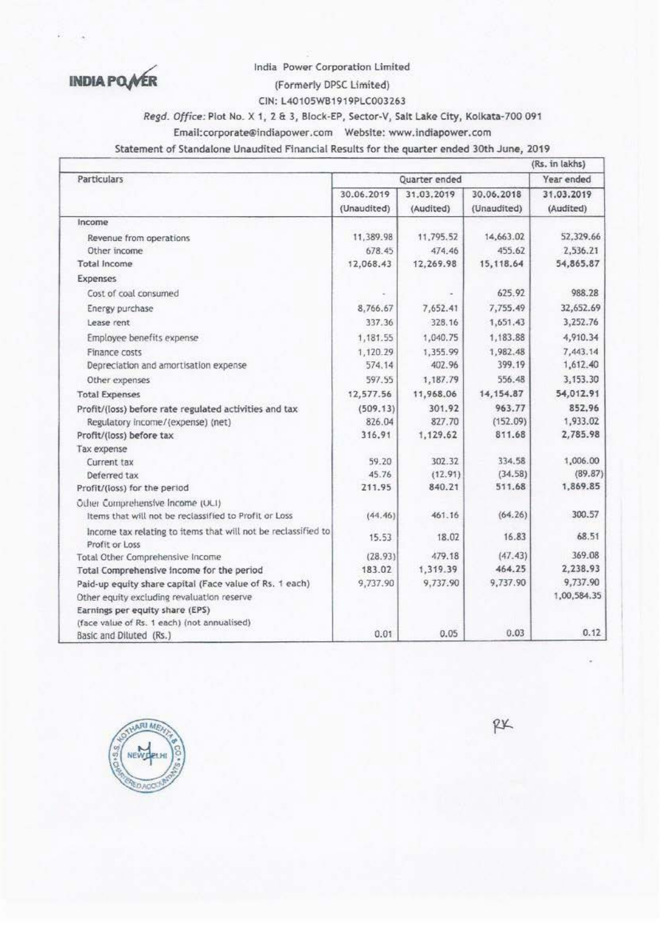**INDIA POWER** 

India Power Corporation Limited

# (Formerly DPSC Limited)

CIN: L40105WB1919PLC003263

Regd. Office: Plot No. X 1, 2 & 3, Block-EP, Sector-V, Salt Lake City, Kolkata-700 091

Statement of Standalone Unaudited Financial Results for the quarter ended 30th June, 2019

|                                                               |               |            |             | (RS. In lakhs) |
|---------------------------------------------------------------|---------------|------------|-------------|----------------|
| <b>Particulars</b>                                            | Quarter ended | Year ended |             |                |
|                                                               | 30.06.2019    | 31.03.2019 | 30.06.2018  | 31.03.2019     |
|                                                               | (Unaudited)   | (Audited)  | (Unaudited) | (Audited)      |
| Income                                                        |               |            |             |                |
| Revenue from operations                                       | 11,389.98     | 11,795.52  | 14,663.02   | 52,329.66      |
| Other income                                                  | 678.45        | 474.46     | 455.62      | 2,536.21       |
| Total Income                                                  | 12,068.43     | 12,269.98  | 15,118.64   | 54,865.87      |
| Expenses                                                      |               |            |             |                |
| Cost of coal consumed                                         |               |            | 625.92      | 988.28         |
| Energy purchase                                               | 8,766,67      | 7,652.41   | 7,755.49    | 32,652.69      |
| Lease rent                                                    | 337.36        | 328.16     | 1,651.43    | 3,252.76       |
| Employee benefits expense                                     | 1,181.55      | 1.040.75   | 1,183.88    | 4,910.34       |
| Finance costs                                                 | 1,120.29      | 1,355.99   | 1,982.48    | 7,443.14       |
| Depreciation and amortisation expense                         | 574.14        | 402.96     | 399.19      | 1,612.40       |
| Other expenses                                                | 597.55        | 1,187.79   | 556.48      | 3,153.30       |
| <b>Total Expenses</b>                                         | 12,577.56     | 11,968.06  | 14, 154.87  | 54,012.91      |
| Profit/(loss) before rate regulated activities and tax        | (509.13)      | 301.92     | 963.77      | 852.96         |
| Regulatory income/(expense) (net)                             | 826.04        | 827.70     | (152.09)    | 1,933.02       |
| Profit/(loss) before tax                                      | 316.91        | 1,129.62   | 811.68      | 2,785.98       |
| Tax expense                                                   |               |            |             |                |
| Current tax                                                   | 59.20         | 302.32     | 334.58      | 1,006.00       |
| Deferred tax                                                  | 45.76         | (12.91)    | (34.58)     | (89.87)        |
| Profit/(loss) for the period                                  | 211.95        | 840.21     | 511.68      | 1,869.85       |
| Other Comprehensive Income (UCI)                              |               |            |             |                |
| Items that will not be reclassified to Profit or Loss         | (44.46)       | 461.16     | (64.26)     | 300.57         |
| Income tax relating to items that will not be reclassified to | 15.53         | 18.02      | 16.83       | 68.51          |
| Profit or Loss                                                |               |            |             |                |
| Total Other Comprehensive Income                              | (28.93)       | 479.18     | (47.43)     | 369.08         |
| Total Comprehensive income for the period                     | 183.02        | 1,319.39   | 464.25      | 2,238.93       |
| Paid-up equity share capital (Face value of Rs. 1 each)       | 9,737.90      | 9,737.90   | 9,737.90    | 9,737.90       |
| Other equity excluding revaluation reserve                    |               |            |             | 1,00,584.35    |
| Earnings per equity share (EPS)                               |               |            |             |                |
| (face value of Rs. 1 each) (not annualised)                   |               |            | 0.03        | 0.12           |
| Basic and Diluted (Rs.)                                       | 0.01          | 0.05       |             |                |



RX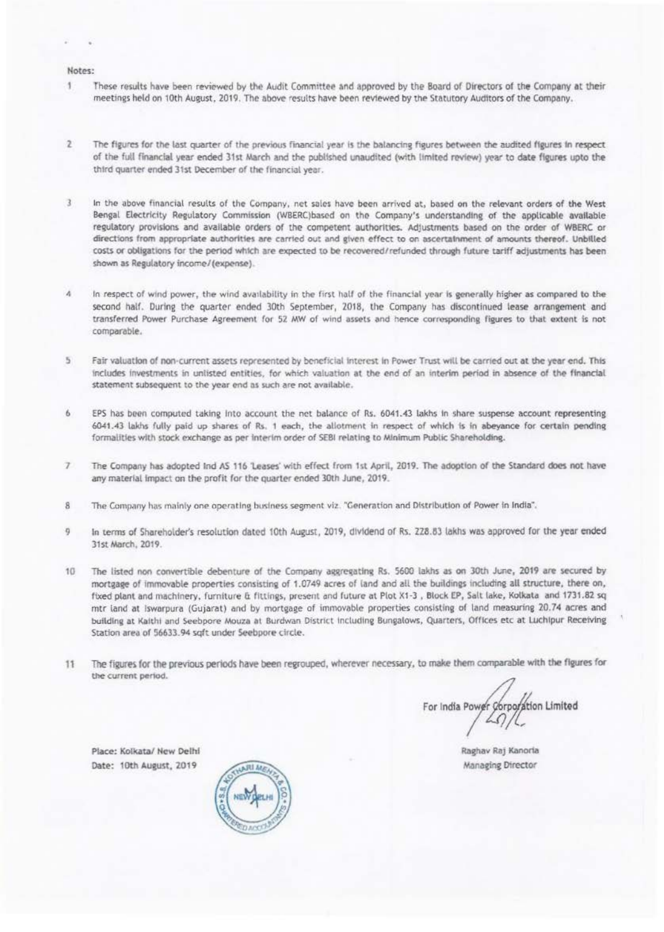#### Notes:

- 1 These results have been reviewed by the Audit Committee and approved by the Board of Directors of the Company at their meetings held on 10th August, 2019. The above results have been reviewed by the Statutory Auditors of the Company,
- $\overline{2}$ The figures for the last quarter of the previous financial year is the balancing figures between the audited figures in respect of the full financial year ended 31st March and the published unaudited (with limited review) year to date fleures upto the third quarter ended 31st December of the financial year.
- 3 In the above financial results of the Company, net sales have been arrived at, based on the relevant orders of the West Bengal Electricity Regulatory Commission (WBERC)based on the Company's understanding of the applicable available regulatory provisions and available orders of the competent authorities. Adjustments based on the order of WBERC or directions from appropriate authorities are carried out and given effect to on ascertainment of amounts thereof. Unbilled costs or obligations for the period which are expected to be recovered/refunded through future tariff adjustments has been shown as Regulatory income/(expense).
- $\Delta$ In respect of wind power, the wind availability in the first half of the financial year is generally higher as compared to the second half. During the quarter ended 30th September, 2018, the Company has discontinued lease arrangement and transferred Power Purchase Agreement for 52 MW of wind assets and hence corresponding figures to that extent is not comparable.
- 5 Fair valuation of non-current assets represented by beneficial interest in Power Trust will be carried out at the year end. This includes investments in unlisted entities, for which valuation at the end of an interim period in absence of the financial statement subsequent to the year end as such are not available.
- EPS has been computed taking Into account the net balance of Rs. 6041.43 lakhs in share suspense account representing 6 6041.43 lakhs fully paid up shares of Rs. 1 each, the allotment in respect of which is in abeyance for certain pending formalities with stock exchange as per interim order of SEBI relating to Minimum Public Shareholding.
- $\overline{ }$ The Company has adopted Ind AS 116 'Leases' with effect from 1st April, 2019. The adoption of the Standard does not have any material impact on the profit for the quarter ended 30th June, 2019.
- 8 The Company has mainly one operating business segment viz. "Generation and Distribution of Power in India".
- 9 In terms of Shareholder's resolution dated 10th August, 2019, dividend of Rs. 228.83 lakhs was approved for the year ended 31st March, 2019.
- 10 The listed non convertible debenture of the Company aggregating Rs. 5600 lakhs as on 30th June, 2019 are secured by mortgage of immovable properties consisting of 1.0749 acres of land and all the buildings including all structure, there on, fixed plant and machinery, furniture & fittings, present and future at Plot X1-3, Block EP, Salt lake, Kolkata and 1731.82 sq mtr land at Iswarpura (Gujarat) and by mortgage of immovable properties consisting of land measuring 20.74 acres and building at Kaithi and Seebpore Mouza at Burdwan District including Bungalows, Quarters, Offices etc at Luchipur Receiving Station area of 56633.94 sqft under Seebpore circle.
- The figures for the previous periods have been regrouped, wherever necessary, to make them comparable with the figures for 11 the current period.

For India Power Corporation Limited

Place: Kolkata/ New Delhi Date: 10th August, 2019



Raghav Raj Kanoria Managing Director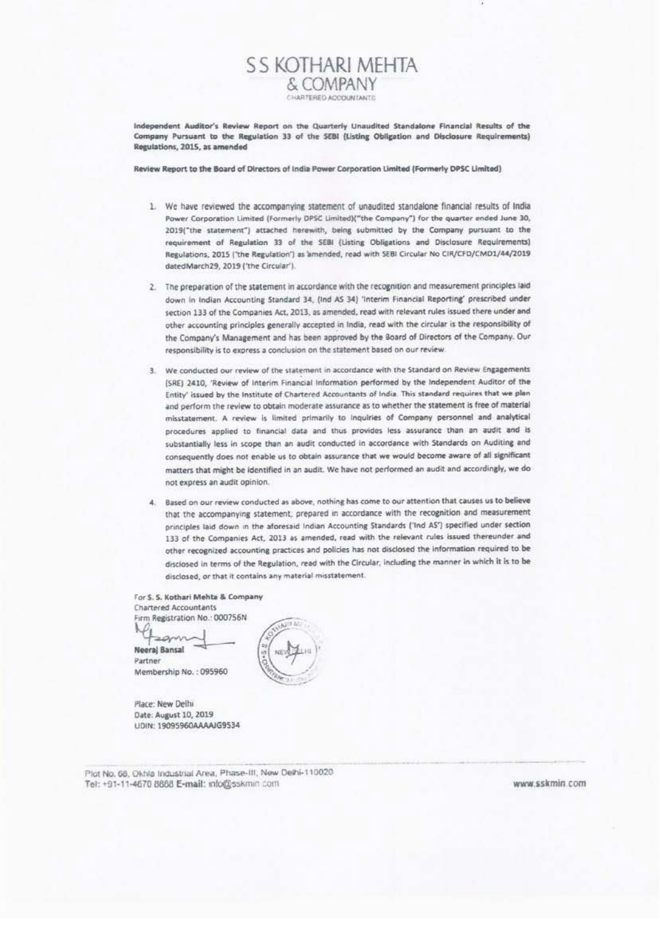Independent Auditor's Review Report on the Quarterly Unaudited Standalone Financial Results of the Company Pursuant to the Regulation 33 of the SEBI (Listing Obligation and Disclosure Requirements) Regulations, 2015, as amended

**SS KOTHARI MEHTA** & COMPANY CHARTERED ACCOUNTANTS

Review Report to the Board of Directors of India Power Corporation Limited (Formerly DPSC Limited)

- 1. We have reviewed the accompanying statement of unaudited standalone financial results of India Power Corporation Limited (Formerly DPSC Limited)("the Company") for the quarter ended June 30, 2019("the statement") attached herewith, being submitted by the Company pursuant to the requirement of Regulation 33 of the SEBI (Listing Obligations and Disclosure Requirements) Regulations, 2015 ('the Regulation') as amended, read with SEBI Circular No CIR/CFD/CMD1/44/2019 datedMarch29, 2019 ('the Circular').
- 2. The preparation of the statement in accordance with the recognition and measurement principles laid down in Indian Accounting Standard 34, (Ind AS 34) 'Interim Financial Reporting' prescribed under section 133 of the Companies Act, 2013, as amended, read with relevant rules issued there under and other accounting principles generally accepted in India, read with the circular is the responsibility of the Company's Management and has been approved by the Board of Directors of the Company. Our responsibility is to express a conclusion on the statement based on our review.
- 3. We conducted our review of the statement in accordance with the Standard on Review Engagements (SRE) 2410, 'Review of Interim Financial Information performed by the Independent Auditor of the Entity' issued by the Institute of Chartered Accountants of India. This standard requires that we plan and perform the review to obtain moderate assurance as to whether the statement is free of material misstatement. A review is limited primarily to inquiries of Company personnel and analytical procedures applied to financial data and thus provides less assurance than an audit and is substantially less in scope than an audit conducted in accordance with Standards on Auditing and consequently does not enable us to obtain assurance that we would become aware of all significant matters that might be identified in an audit. We have not performed an audit and accordingly, we do not express an audit opinion.
- 4. Based on our review conducted as above, nothing has come to our attention that causes us to believe that the accompanying statement; prepared in accordance with the recognition and measurement principles laid down in the aforesaid Indian Accounting Standards ('Ind AS') specified under section 133 of the Companies Act, 2013 as amended, read with the relevant rules issued thereunder and other recognized accounting practices and policies has not disclosed the information required to be disclosed in terms of the Regulation, read with the Circular, including the manner in which it is to be disclosed, or that it contains any material misstatement.

For S. S. Kothari Mehta & Company **Chartered Accountants** Firm Registration No.: 000756N

acomin **Neeral Bansal** Partner Membership No.: 095960

Place: New Delhi Date: August 10, 2019 UDIN: 19095960AAAAJG9534

Plot No. 68, Okhla Industrial Area, Phase-III, New Delhi-110020 Tel: +91-11-4670 8888 E-mail: info@sskmin.com

www.sskmin.com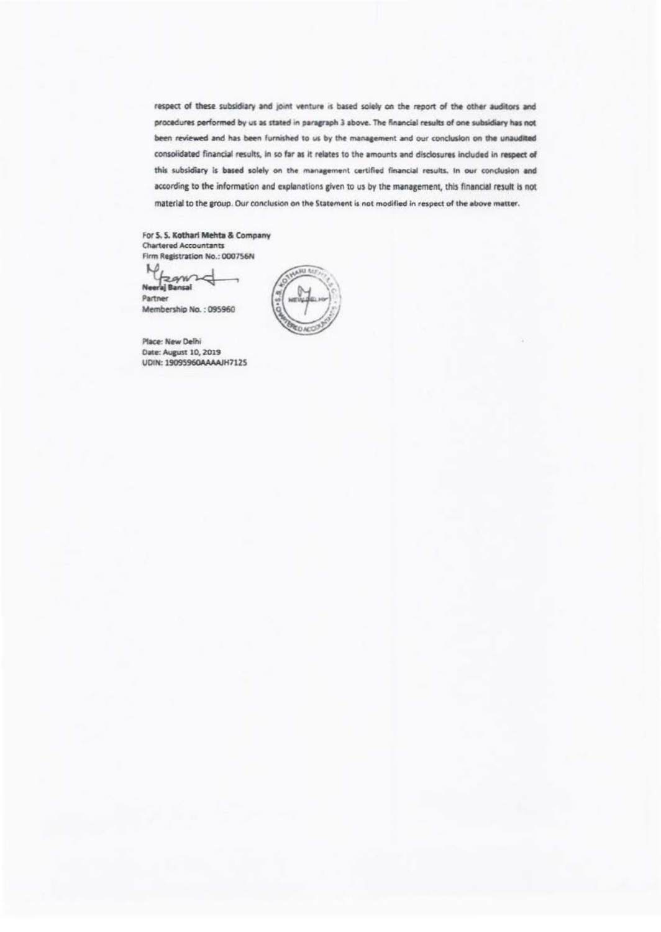respect of these subsidiary and joint venture is based solely on the report of the other auditors and procedures performed by us as stated in paragraph 3 above. The financial results of one subsidiary has not been reviewed and has been furnished to us by the management and our conclusion on the unaudited consolidated financial results, in so far as it relates to the amounts and disclosures included in respect of this subsidiary is based solely on the management certified financial results. In our conclusion and according to the information and explanations given to us by the management, this financial result is not material to the group. Our conclusion on the Statement is not modified in respect of the above matter.

For S. S. Kothari Mehta & Company **Chartered Accountants** Firm Registration No.: 000756N

M zgwz Neeral Bansal

Partner Membership No.: 095960

Place: New Delhi Date: August 10, 2019 UDIN: 19095960AAAAJH7125

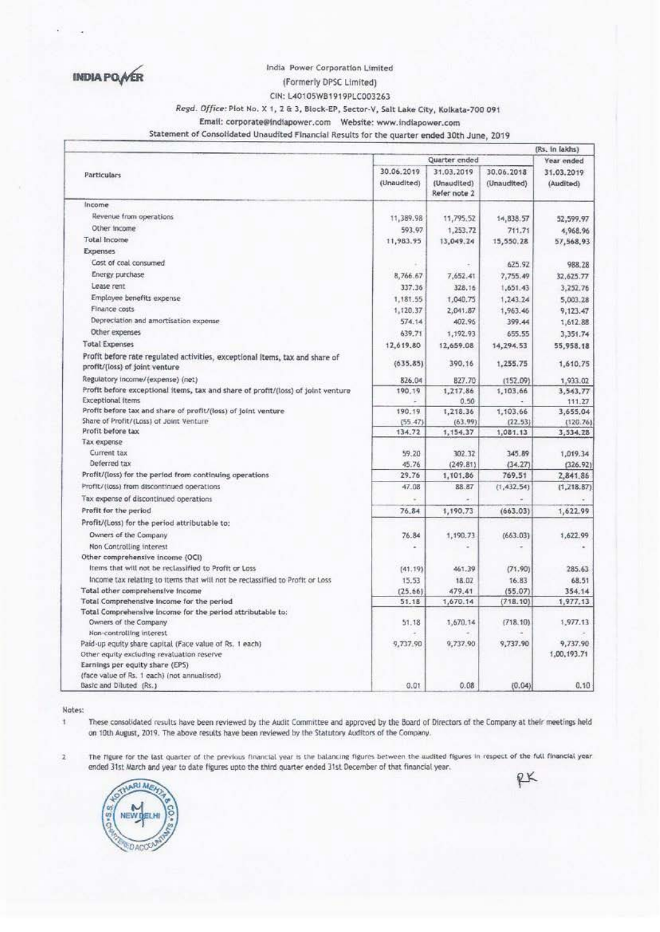**INDIA PO AER** 

### India Power Corporation Limited

(Formerly DPSC Limited)

CIN: L40105WB1919PLC003263

## Regd. Office: Plot No. X 1, 2 & 3, Block-EP, Sector-V, Salt Lake City, Kolkata-700 091

Statement of Consolidated Unaudited Financial Results for the quarter ended 30th June, 2019

|  |                                                                                           |                           | Quarter ended                             |                           | (Rs. In lakhs)          |
|--|-------------------------------------------------------------------------------------------|---------------------------|-------------------------------------------|---------------------------|-------------------------|
|  | <b>Particulars</b>                                                                        |                           | Year ended                                |                           |                         |
|  |                                                                                           | 30.06.2019<br>(Unaudited) | 31.03.2019<br>(Unaudited)<br>Refer note 2 | 30.06.2018<br>(Unaudited) | 31.03.2019<br>(Audited) |
|  | Income                                                                                    |                           |                                           |                           |                         |
|  | Revenue from operations                                                                   | 11,389.98                 | 11,795.52                                 | 14,838.57                 | 52,599.97               |
|  | Other income                                                                              | 593.97                    | 1,253.72                                  | 711.71                    | 4,968.96                |
|  | Total Income                                                                              | 11,983.95                 | 13,049.24                                 | 15,550.28                 | 57,568,93               |
|  | <b>Expenses</b>                                                                           |                           |                                           |                           |                         |
|  | Cost of coal consumed                                                                     |                           |                                           | 625.92                    | 988.28                  |
|  | Energy purchase                                                                           | 8,766.67                  | 7.652.41                                  | 7,755.49                  | 32,625.77               |
|  | Lease rent                                                                                | 337.36                    | 328.16                                    | 1,651.43                  | 3,252,76                |
|  | Employee benefits expense                                                                 | 1,181.55                  | 1,040.75                                  | 1,243.24                  | 5,003.28                |
|  | Finance costs                                                                             | 1,120.37                  | 2,041.87                                  | 1,963.46                  | 9,123.47                |
|  | Depreciation and amortisation expense.                                                    | 574.14                    | 402.96                                    | 399.44                    | 1,612.88                |
|  | Other expenses                                                                            | 639.71                    | 1,192.93                                  | 655.55                    | 3,351.74                |
|  | <b>Total Expenses</b>                                                                     | 12,619.80                 |                                           |                           |                         |
|  | Profit before rate regulated activities, exceptional items, tax and share of              |                           | 12,659.08                                 | 14,294.53                 | 55,958.18               |
|  | profit/(loss) of joint venture                                                            | (635.85)                  | 390.16                                    | 1,255.75                  | 1,610.75                |
|  | Regulatory income/(expense) (net)                                                         | 826.04                    | 827.70                                    | (152.09)                  | 1,933.02                |
|  | Profit before exceptional items, tax and share of profit/(loss) of joint venture          | 190.19                    | 1,217.86                                  | 1,103.66                  | 3,543,77                |
|  | <b>Exceptional Items</b>                                                                  |                           | 0.50                                      |                           | 111.27                  |
|  | Profit before tax and share of profit/(loss) of joint venture                             | 190.19                    | 1,218.36                                  | 1,103.66                  | 3,655,04                |
|  | Share of Profit/(Loss) of Joint Venture                                                   | (55.47)                   | (63.99)                                   | (22.53)                   | (120.76)                |
|  | Profit before tax<br>Tax expense                                                          | 134.72                    | 1,154.37                                  | 1,081.13                  | 3,534.28                |
|  | Current tax                                                                               | 59.20                     | 302.32                                    | 345.89                    |                         |
|  | Deferred tax                                                                              | 45.76                     | (249.81)                                  | (34.27)                   | 1,019.34                |
|  | Profit/(loss) for the period from continuing operations                                   | 29.76                     | 1,101.86                                  | 769.51                    | (326.92)<br>2,841.86    |
|  | Profit/(loss) from discontinued operations                                                | 47.08                     | 88.87                                     | (1,432.54)                | (1, 218.87)             |
|  |                                                                                           |                           |                                           |                           |                         |
|  | Tax expense of discontinued operations                                                    | ×.                        |                                           |                           |                         |
|  | Profit for the period                                                                     | 76.84                     | 1,190.73                                  | (663.03)                  | 1,622.99                |
|  | Profit/(Loss) for the period attributable to:                                             |                           |                                           |                           |                         |
|  | Owners of the Company                                                                     | 76.84                     | 1,190.73                                  | (663.03)                  | 1,622.99                |
|  | Non Controlling interest                                                                  |                           |                                           |                           |                         |
|  | Other comprehensive income (OCI)<br>Items that will not be reclassified to Profit or Loss |                           |                                           |                           |                         |
|  |                                                                                           | (41.19)                   | 461.39                                    | (71.90)                   | 285.63                  |
|  | Income tax relating to items that will not be reclassified to Profit or Loss              | 15.53                     | 18.07                                     | 16.83                     | 68.51                   |
|  | Total other comprehensive income<br>Total Comprehensive income for the period             | (25.66)<br>51.18          | 479.41<br>1,670.14                        | (55.07)<br>(718.10)       | 354.14<br>1,977.13      |
|  | Total Comprehensive income for the period attributable to:                                |                           |                                           |                           |                         |
|  | Owners of the Company                                                                     | 51.18                     | 1,670.14                                  | (718.10)                  | 1,977.13                |
|  | Non-controlling interest                                                                  |                           |                                           |                           |                         |
|  | Paid-up equity share capital (Face value of Rs. 1 each)                                   | 9,737.90                  | 9,737.90                                  | 9,737.90                  | 9,737.90                |
|  | Other equity excluding revaluation reserve                                                |                           |                                           |                           | 1,00,193.71             |
|  | Earnings per equity share (EPS)                                                           |                           |                                           |                           |                         |
|  | (face value of Rs. 1 each) (not annualised)                                               |                           |                                           |                           |                         |
|  | Basic and Diluted (Rs.)                                                                   | 0.01                      | 0.08                                      | (0.04)                    | 0.10                    |

Notes:

ł.

 $\overline{\mathbf{z}}$ 

These consolidated results have been reviewed by the Audit Committee and approved by the Board of Directors of the Company at their meetings held on 10th August, 2019. The above results have been reviewed by the Statutory Auditors of the Company.

The figure for the last quarter of the previous financial year is the balancing figures between the audited figures in respect of the full financial year ended 31st March and year to date figures upto the third quarter ended 31st December of that financial year.



RK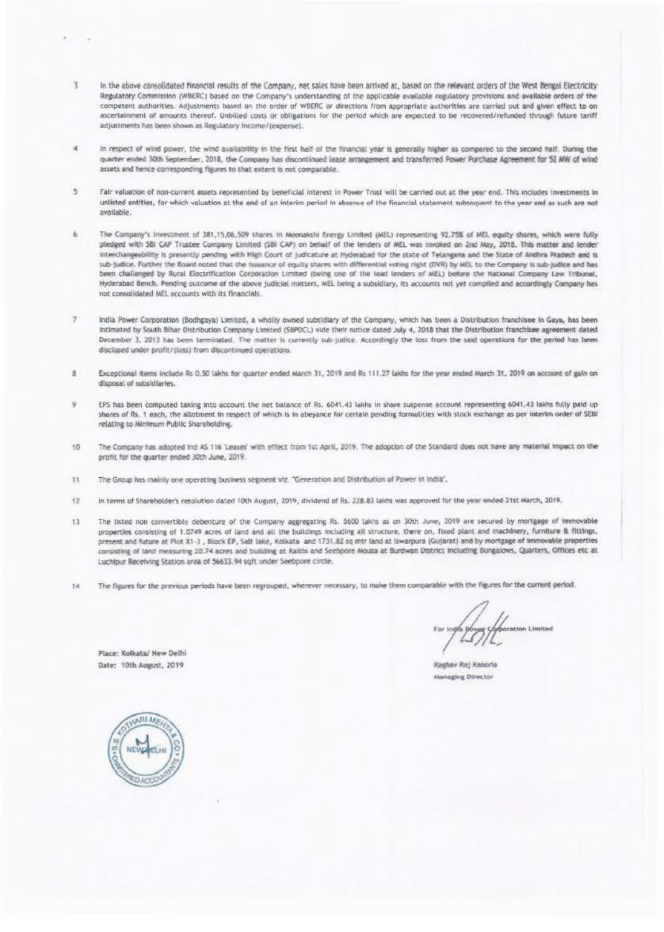- T. in the above consolidated financial results of the Company, net sales have been arrived at, based on the relevant orders of the West Bengal Electricity Regulatory Commission (WBERC) based on the Company's understanding of the applicable available regulatory provisions and available orders of the competent authorities. Adjustments based on the order of WBERC or directions from appropriate authorities are carried out and given effect to on ascertainment of amounts thereof. Unbilled costs or obligations for the period which are expected to be recovered/refunded through future tariff adjustments has been shown as Regulatory income/(expense).
- × In respect of wind power, the wind availability in the first half of the financial year is generally higher as compared to the second half. During the quarter ended 30th September, 2018, the Company has discontinued lease arrangement and transferred Power Purchase Agreement for 52 MW of wind assets and hence corresponding figures to that extent is not comparable.
- $\eta$ Fair valuation of non-current assets represented by beneficial interest in Power Trust will be carried out at the year end. This includes investments in unlisted entities, for which valuation at the end of an interim period in absence of the financial statement subsequent to the year end as such are not available.
- The Company's Investment of 381,15,06,509 shares in Meenakshi Energy Limited (MEL) representing 92,75% of MEL equity shares, which were fully pledged with SBI CAP Trustee Company Limited (SBI CAP) on behalf of the lenders of MEL was invoked on 2nd May, 2018. This matter and lender interchangeability is presently pending with High Court of judicature at Hyderabad for the state of Telangana and the State of Andhra Pradesh and is sub-Judice. Further the Board noted that the Issuance of equity shares with differential voting right (DVR) by MIL to the Company is sub-Judice and has been challenged by Rural Electrification Corporation Limited (being one of the lead lenders of MEL) before the National Company Law Tribunal, Hyderabad Bench. Pending outcome of the above judicial matters, MEL being a subsidiary, its accounts not yet complied and accordingly Company has not consolidated MEL accounts with its financials.
- $\overline{\tau}$ India Power Corporation (Bodhgaya) Limited, a wholly owned subsidiary of the Company, which has been a Distribution franchisee in Gaya, has been intimated by South Bihar Distribution Company Limited (SBPDCL) vide their notice dated July 4, 2018 that the Distribution franchisee agreement dated December 3, 2013 has been terminated. The matter is currently sub-judice. Accordingly the loss from the said operations for the period has been disclosed under profit/(loss) from discontinued operations.
- $\mathbf{a}$ Exceptional items include Rs 0.50 lakhs for quarter ended March 31, 2019 and Rs 111.27 lakhs for the year ended March 31, 2019 on account of gain on disposal of subsidiaries.
- ò EPS has been computed taking into account the net balance of Rs. 6041.43 lakhs in share suspense account representing 6041.43 lakhs fully paid up shares of Rs. 1 each, the allotment in respect of which is in abeyance for certain pending formalities with stock exchange as per interim order of SEBI relating to Minimum Public Shareholding.
- 10 The Company has adopted ind AS 116 'Leases' with effect from 1st April, 2019. The adoption of the Standard does not have any material impact on the profit for the quarter ended 30th June, 2019.
- The Group has mainly one operating business segment viz. "Generation and Distribution of Power in India". 11
- $12<sup>1</sup>$ In terms of Shareholder's resolution dated 10th August, 2019, dividend of Rs. 228.83 laids was approved for the year ended 31st March, 2019.
- $13$ The listed non convertible debenture of the Company aggregating Rs. 5600 lakhs as on 30th June, 2019 are secured by mortgage of immovable properties consisting of 1,0749 acres of land and all the buildings including all structure, there on, fixed plant and machinery, furniture & fittings, present and future at Plot X1-3, Block EP, Salt lake, Kolkata and 1731.82 sq mtr land at iswarpura (Gujarat) and by mortgage of immovable properties consisting of land measuring 20.74 acres and building at Kaithi and Seebpore Mouza at Burdwan District including Bungalows, Quarters, Offices etc at Luchipur Receiving Station area of 56633.94 sqft under Seebpore circle.
- The figures for the previous periods have been regrouped, wherever necessary, to make them comparable with the figures for the current period. 14

tration Limited

Raghav Raj Kanoria **Managing Director** 

Date: 10th August, 2019

Place: Kolkata/ New Delhi

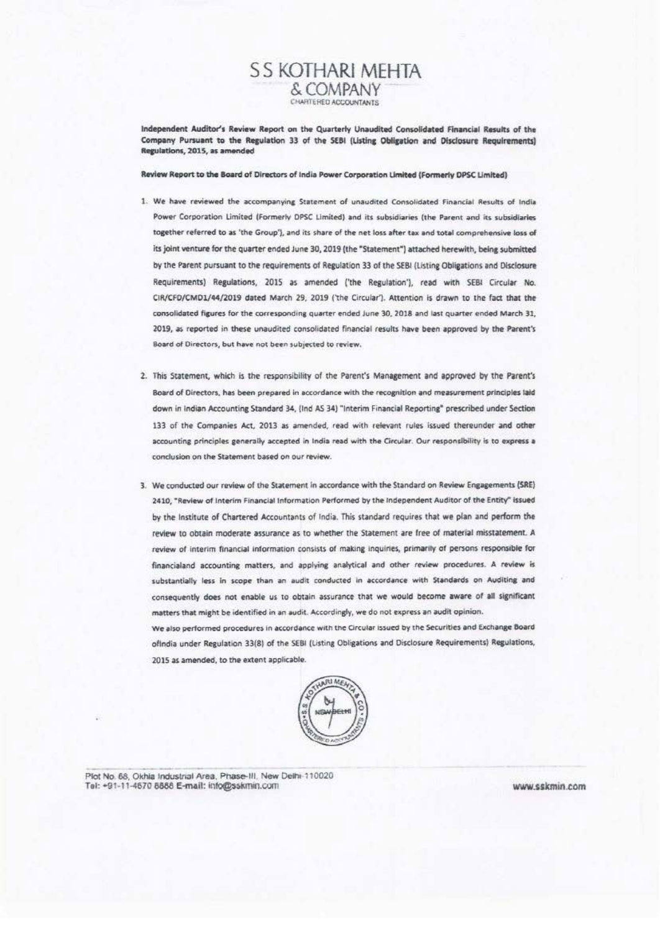# S S KOTHARI MEHTA & COMPANY CHARTERED ACCOUNTANTS

Independent Auditor's Review Report on the Quarterly Unaudited Consolidated Financial Results of the Company Pursuant to the Regulation 33 of the SEBI (Listing Obligation and Disclosure Regulrements) Regulations, 2015, as amended

Review Report to the Board of Directors of India Power Corporation Limited (Formerly DPSC Limited)

- 1. We have reviewed the accompanying Statement of unaudited Consolidated Financial Results of India Power Corporation Limited (Formerly DPSC Limited) and its subsidiaries (the Parent and its subsidiaries together referred to as 'the Group'), and its share of the net loss after tax and total comprehensive loss of its joint venture for the quarter ended June 30, 2019 (the "Statement") attached herewith, being submitted by the Parent pursuant to the requirements of Regulation 33 of the SEBI (Listing Obligations and Disclosure Requirements) Regulations, 2015 as amended ('the Regulation'), read with SEBI Circular No. CIR/CFD/CMD1/44/2019 dated March 29, 2019 ('the Circular'). Attention is drawn to the fact that the consolidated figures for the corresponding quarter ended June 30, 2018 and last quarter ended March 31, 2019, as reported in these unaudited consolidated financial results have been approved by the Parent's Board of Directors, but have not been subjected to review.
- 2. This Statement, which is the responsibility of the Parent's Management and approved by the Parent's Board of Directors, has been prepared in accordance with the recognition and measurement principles laid down in Indian Accounting Standard 34, (Ind AS 34) "Interim Financial Reporting" prescribed under Section 133 of the Companies Act, 2013 as amended, read with relevant rules issued thereunder and other accounting principles generally accepted in India read with the Circular. Our responsibility is to express a conclusion on the Statement based on our review.
- 3. We conducted our review of the Statement in accordance with the Standard on Review Engagements (SRE) 2410: "Review of Interim Financial Information Performed by the Independent Auditor of the Entity" issued by the Institute of Chartered Accountants of India. This standard requires that we plan and perform the review to obtain moderate assurance as to whether the Statement are free of material misstatement. A review of interim financial information consists of making inquiries, primarily of persons responsible for financialand accounting matters, and applying analytical and other review procedures. A review is substantially less in scope than an audit conducted in accordance with Standards on Auditing and consequently does not enable us to obtain assurance that we would become aware of all significant matters that might be identified in an audit. Accordingly, we do not express an audit opinion.

We also performed procedures in accordance with the Circular issued by the Securities and Exchange Board ofindia under Regulation 33(8) of the SEBI (Listing Obligations and Disclosure Requirements) Regulations, 2015 as amended, to the extent applicable.



Plot No. 68, Okhia Industrial Area, Phase-III, New Delhi 110020 Tel: +91-11-4670 8888 E-mail: info@sskmin.com

www.sskmin.com